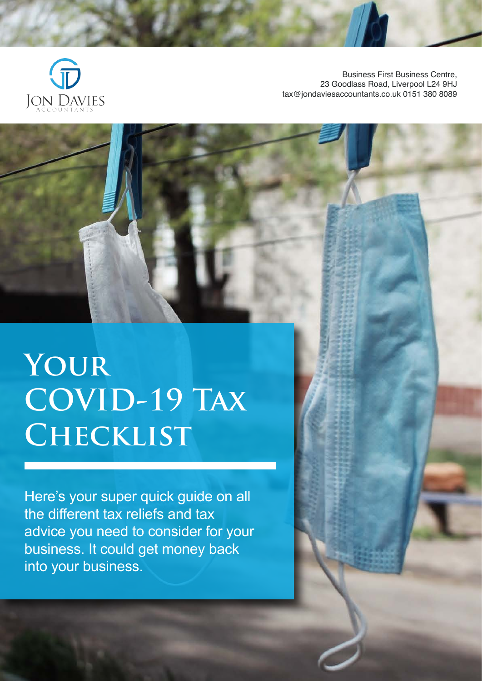

Business First Business Centre, 23 Goodlass Road, Liverpool L24 9HJ tax@jondaviesaccountants.co.uk 0151 380 8089

# **Your COVID-19 Tax Checklist**

Here's your super quick guide on all the different tax reliefs and tax advice you need to consider for your business. It could get money back into your business.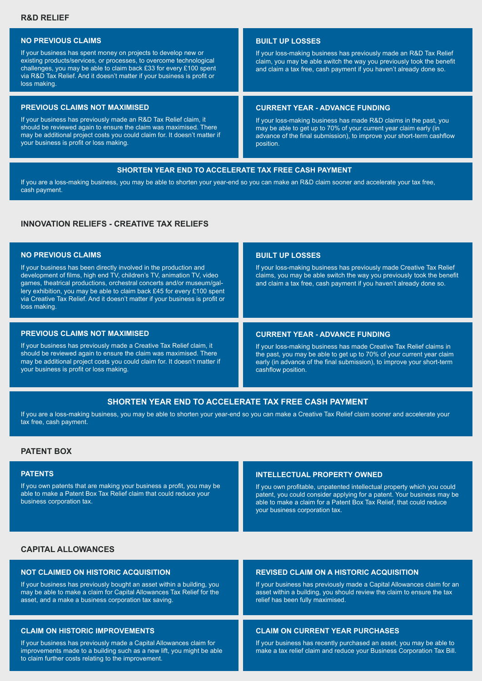## **NO PREVIOUS CLAIMS**

If your business has spent money on projects to develop new or existing products/services, or processes, to overcome technological challenges, you may be able to claim back £33 for every £100 spent via R&D Tax Relief. And it doesn't matter if your business is profit or loss making.

#### **PREVIOUS CLAIMS NOT MAXIMISED**

If your business has previously made an R&D Tax Relief claim, it should be reviewed again to ensure the claim was maximised. There may be additional project costs you could claim for. It doesn't matter if your business is profit or loss making.

## **BUILT UP LOSSES**

If your loss-making business has previously made an R&D Tax Relief claim, you may be able switch the way you previously took the benefit and claim a tax free, cash payment if you haven't already done so.

#### **CURRENT YEAR - ADVANCE FUNDING**

If your loss-making business has made R&D claims in the past, you may be able to get up to 70% of your current year claim early (in advance of the final submission), to improve your short-term cashflow position.

#### **SHORTEN YEAR END TO ACCELERATE TAX FREE CASH PAYMENT**

If you are a loss-making business, you may be able to shorten your year-end so you can make an R&D claim sooner and accelerate your tax free, cash payment.

# **INNOVATION RELIEFS - CREATIVE TAX RELIEFS**

## **NO PREVIOUS CLAIMS**

If your business has been directly involved in the production and development of films, high end TV, children's TV, animation TV, video games, theatrical productions, orchestral concerts and/or museum/gallery exhibition, you may be able to claim back £45 for every £100 spent via Creative Tax Relief. And it doesn't matter if your business is profit or loss making.

#### **PREVIOUS CLAIMS NOT MAXIMISED**

If your business has previously made a Creative Tax Relief claim, it should be reviewed again to ensure the claim was maximised. There may be additional project costs you could claim for. It doesn't matter if your business is profit or loss making.

#### **BUILT UP LOSSES**

If your loss-making business has previously made Creative Tax Relief claims, you may be able switch the way you previously took the benefit and claim a tax free, cash payment if you haven't already done so.

#### **CURRENT YEAR - ADVANCE FUNDING**

If your loss-making business has made Creative Tax Relief claims in the past, you may be able to get up to 70% of your current year claim early (in advance of the final submission), to improve your short-term cashflow position.

## **SHORTEN YEAR END TO ACCELERATE TAX FREE CASH PAYMENT**

If you are a loss-making business, you may be able to shorten your year-end so you can make a Creative Tax Relief claim sooner and accelerate your tax free, cash payment.

## **PATENT BOX**

#### **PATENTS**

If you own patents that are making your business a profit, you may be able to make a Patent Box Tax Relief claim that could reduce your business corporation tax.

#### **INTELLECTUAL PROPERTY OWNED**

If you own profitable, unpatented intellectual property which you could patent, you could consider applying for a patent. Your business may be able to make a claim for a Patent Box Tax Relief, that could reduce your business corporation tax.

#### **CAPITAL ALLOWANCES**

#### **NOT CLAIMED ON HISTORIC ACQUISITION**

If your business has previously bought an asset within a building, you may be able to make a claim for Capital Allowances Tax Relief for the asset, and a make a business corporation tax saving.

## **CLAIM ON HISTORIC IMPROVEMENTS**

If your business has previously made a Capital Allowances claim for improvements made to a building such as a new lift, you might be able to claim further costs relating to the improvement.

# **REVISED CLAIM ON A HISTORIC ACQUISITION**

If your business has previously made a Capital Allowances claim for an asset within a building, you should review the claim to ensure the tax relief has been fully maximised.

## **CLAIM ON CURRENT YEAR PURCHASES**

If your business has recently purchased an asset, you may be able to make a tax relief claim and reduce your Business Corporation Tax Bill.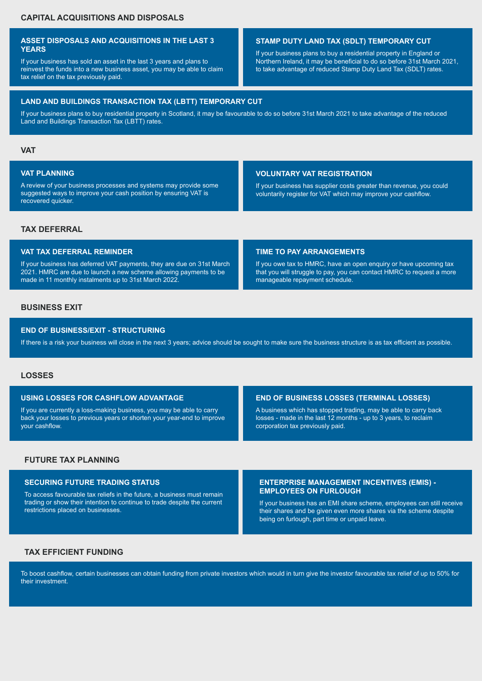## **ASSET DISPOSALS AND ACQUISITIONS IN THE LAST 3 YEARS**

If your business has sold an asset in the last 3 years and plans to reinvest the funds into a new business asset, you may be able to claim tax relief on the tax previously paid.

## **STAMP DUTY LAND TAX (SDLT) TEMPORARY CUT**

If your business plans to buy a residential property in England or Northern Ireland, it may be beneficial to do so before 31st March 2021, to take advantage of reduced Stamp Duty Land Tax (SDLT) rates.

#### **LAND AND BUILDINGS TRANSACTION TAX (LBTT) TEMPORARY CUT**

If your business plans to buy residential property in Scotland, it may be favourable to do so before 31st March 2021 to take advantage of the reduced Land and Buildings Transaction Tax (LBTT) rates.

## **VAT**

## **VAT PLANNING**

A review of your business processes and systems may provide some suggested ways to improve your cash position by ensuring VAT is recovered quicker.

## **VOLUNTARY VAT REGISTRATION**

If your business has supplier costs greater than revenue, you could voluntarily register for VAT which may improve your cashflow.

#### **TAX DEFERRAL**

#### **VAT TAX DEFERRAL REMINDER**

If your business has deferred VAT payments, they are due on 31st March 2021. HMRC are due to launch a new scheme allowing payments to be made in 11 monthly instalments up to 31st March 2022.

## **TIME TO PAY ARRANGEMENTS**

If you owe tax to HMRC, have an open enquiry or have upcoming tax that you will struggle to pay, you can contact HMRC to request a more manageable repayment schedule.

# **BUSINESS EXIT**

#### **END OF BUSINESS/EXIT - STRUCTURING**

If there is a risk your business will close in the next 3 years; advice should be sought to make sure the business structure is as tax efficient as possible.

# **LOSSES**

#### **USING LOSSES FOR CASHFLOW ADVANTAGE**

If you are currently a loss-making business, you may be able to carry back your losses to previous years or shorten your year-end to improve your cashflow.

#### **END OF BUSINESS LOSSES (TERMINAL LOSSES)**

A business which has stopped trading, may be able to carry back losses - made in the last 12 months - up to 3 years, to reclaim corporation tax previously paid.

# **FUTURE TAX PLANNING**

#### **SECURING FUTURE TRADING STATUS**

To access favourable tax reliefs in the future, a business must remain trading or show their intention to continue to trade despite the current restrictions placed on businesses.

#### **ENTERPRISE MANAGEMENT INCENTIVES (EMIS) - EMPLOYEES ON FURLOUGH**

If your business has an EMI share scheme, employees can still receive their shares and be given even more shares via the scheme despite being on furlough, part time or unpaid leave.

## **TAX EFFICIENT FUNDING**

To boost cashflow, certain businesses can obtain funding from private investors which would in turn give the investor favourable tax relief of up to 50% for their investment.